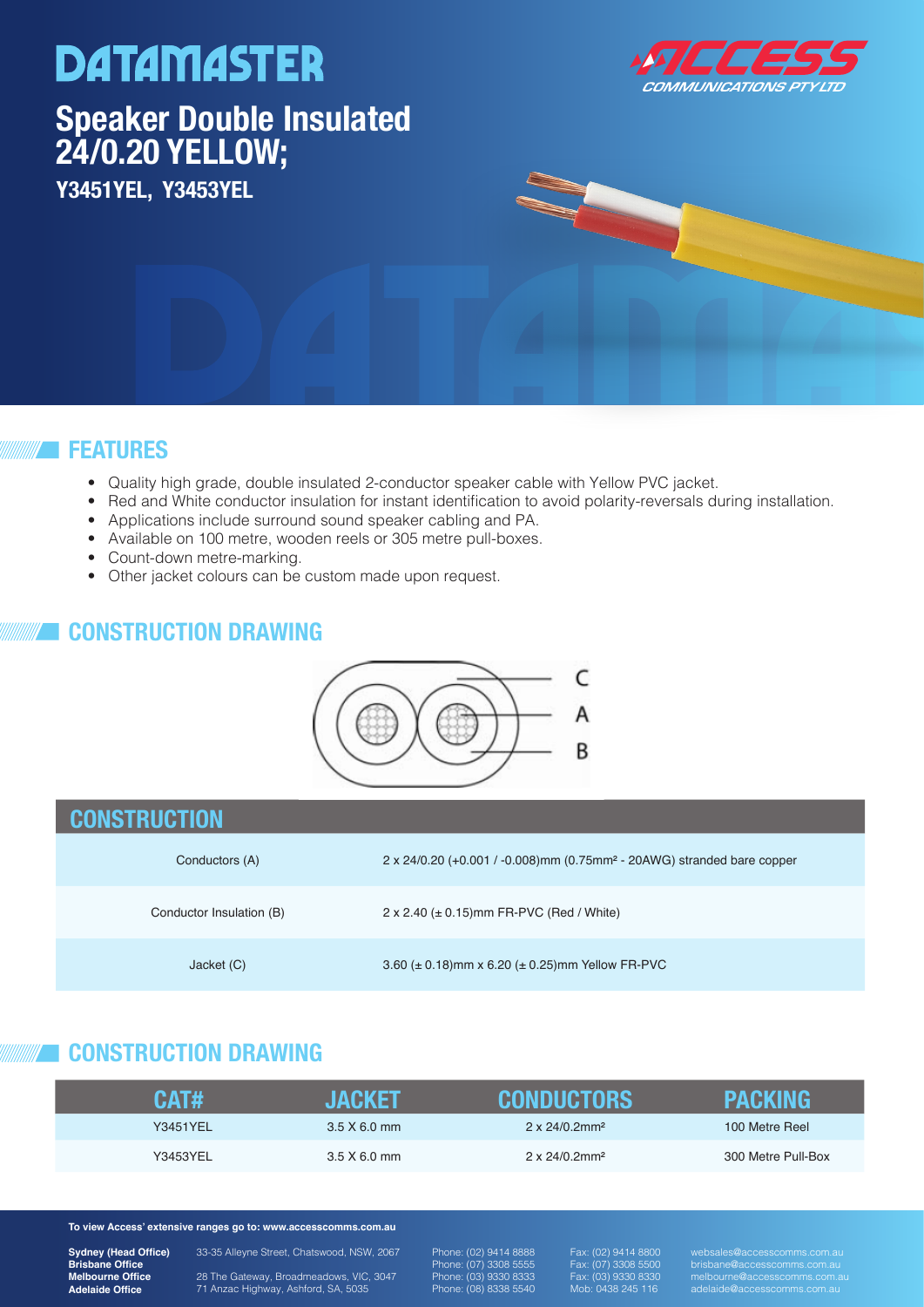# **DATAMASTER Speaker Double Insulated Speaker Double Insulated 24/0.20 YELLOW: 24/0.20 YELLOW; C1103-713 Y3451YEL, Y3453YEL**



### **FEATURES**

- Quality high grade, double insulated 2-conductor speaker cable with Yellow PVC jacket.
- Red and White conductor insulation for instant identification to avoid polarity-reversals during installation.
- Applications include surround sound speaker cabling and PA.
- Available on 100 metre, wooden reels or 305 metre pull-boxes.
- Count-down metre-marking.
- Other jacket colours can be custom made upon request.

### **CONSTRUCTION DRAWING**



| <b>CONSTRUCTION</b>      |                                                                                      |
|--------------------------|--------------------------------------------------------------------------------------|
| Conductors (A)           | 2 x 24/0.20 (+0.001 / -0.008) mm (0.75 mm <sup>2</sup> - 20AWG) stranded bare copper |
| Conductor Insulation (B) | $2 \times 2.40$ ( $\pm$ 0.15) mm FR-PVC (Red / White)                                |
| Jacket (C)               | 3.60 ( $\pm$ 0.18)mm x 6.20 ( $\pm$ 0.25)mm Yellow FR-PVC                            |

# **CONSTRUCTION DRAWING**

| CAT#            | INGKET              | CONDUCTORS                        | PACKIN             |
|-----------------|---------------------|-----------------------------------|--------------------|
| <b>Y3451YEL</b> | $3.5 \times 6.0$ mm | $2 \times 24/0.2$ mm <sup>2</sup> | 100 Metre Reel     |
| Y3453YEL        | 3.5 X 6.0 mm        | $2 \times 24/0.2$ mm <sup>2</sup> | 300 Metre Pull-Box |

#### **To view Access' extensive ranges go to: www.accesscomms.com.au**

**Sydney (Head Office) Brisbane Office Melbourne Office Adelaide Office**

33-35 Alleyne Street, Chatswood, NSW, 2067

28 The Gateway, Broadmeadows, VIC, 3047 71 Anzac Highway, Ashford, SA, 5035

Phone: (02) 9414 8888 Phone: (07) 3308 5555 Phone: (03) 9330 8333 Phone: (08) 8338 5540

Fax: (02) 9414 8800 Fax: (07) 3308 5500 Fax: (03) 9330 8330 Mob: 0438 245 116

websales@accesscomms.com.au brisbane@accesscomms.com.au melbourne@accesscomms.com.au adelaide@accesscomms.com.au